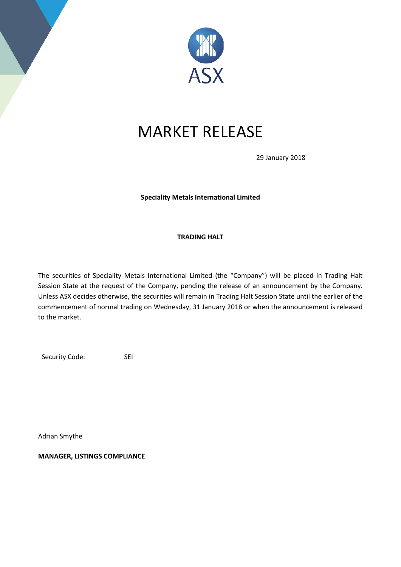

## MARKET RELEASE

29 January 2018

## **Speciality Metals International Limited**

## **TRADING HALT**

The securities of Speciality Metals International Limited (the "Company") will be placed in Trading Halt Session State at the request of the Company, pending the release of an announcement by the Company. Unless ASX decides otherwise, the securities will remain in Trading Halt Session State until the earlier of the commencement of normal trading on Wednesday, 31 January 2018 or when the announcement is released to the market.

Security Code: SEI

Adrian Smythe

**MANAGER, LISTINGS COMPLIANCE**